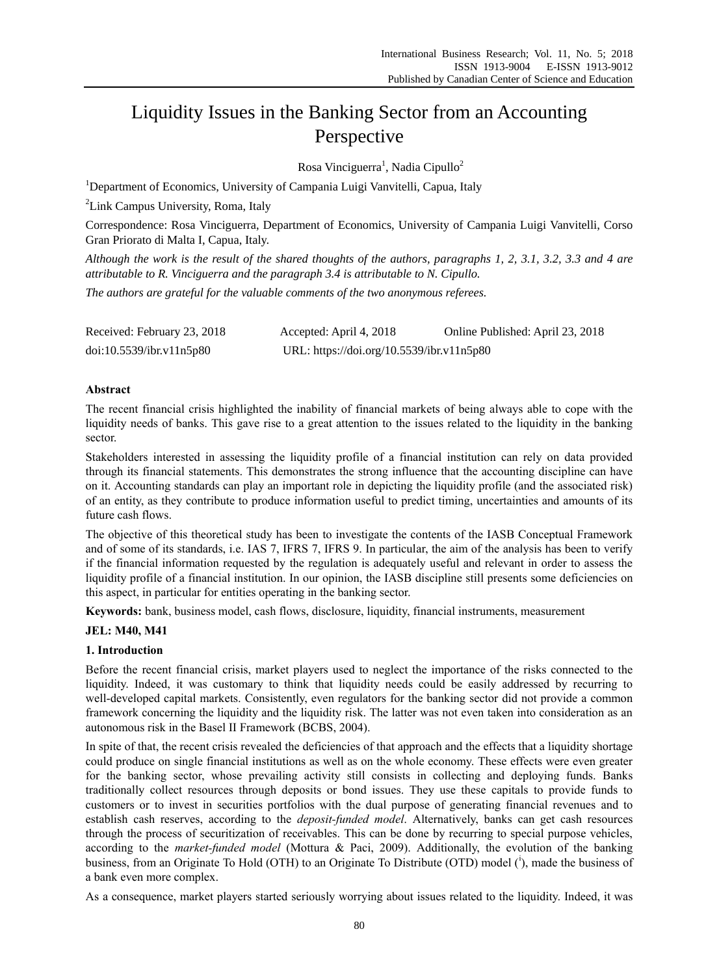# Liquidity Issues in the Banking Sector from an Accounting Perspective

Rosa Vinciguerra<sup>1</sup>, Nadia Cipullo<sup>2</sup>

<sup>1</sup>Department of Economics, University of Campania Luigi Vanvitelli, Capua, Italy

<sup>2</sup>Link Campus University, Roma, Italy

Correspondence: Rosa Vinciguerra, Department of Economics, University of Campania Luigi Vanvitelli, Corso Gran Priorato di Malta I, Capua, Italy.

*Although the work is the result of the shared thoughts of the authors, paragraphs 1, 2, 3.1, 3.2, 3.3 and 4 are attributable to R. Vinciguerra and the paragraph 3.4 is attributable to N. Cipullo.*

*The authors are grateful for the valuable comments of the two anonymous referees.*

| Received: February 23, 2018 | Accepted: April 4, 2018                   | Online Published: April 23, 2018 |
|-----------------------------|-------------------------------------------|----------------------------------|
| doi:10.5539/ibr.v11n5p80    | URL: https://doi.org/10.5539/ibr.v11n5p80 |                                  |

# **Abstract**

The recent financial crisis highlighted the inability of financial markets of being always able to cope with the liquidity needs of banks. This gave rise to a great attention to the issues related to the liquidity in the banking sector.

Stakeholders interested in assessing the liquidity profile of a financial institution can rely on data provided through its financial statements. This demonstrates the strong influence that the accounting discipline can have on it. Accounting standards can play an important role in depicting the liquidity profile (and the associated risk) of an entity, as they contribute to produce information useful to predict timing, uncertainties and amounts of its future cash flows.

The objective of this theoretical study has been to investigate the contents of the IASB Conceptual Framework and of some of its standards, i.e. IAS 7, IFRS 7, IFRS 9. In particular, the aim of the analysis has been to verify if the financial information requested by the regulation is adequately useful and relevant in order to assess the liquidity profile of a financial institution. In our opinion, the IASB discipline still presents some deficiencies on this aspect, in particular for entities operating in the banking sector.

**Keywords:** bank, business model, cash flows, disclosure, liquidity, financial instruments, measurement

# **JEL: M40, M41**

## **1. Introduction**

Before the recent financial crisis, market players used to neglect the importance of the risks connected to the liquidity. Indeed, it was customary to think that liquidity needs could be easily addressed by recurring to well-developed capital markets. Consistently, even regulators for the banking sector did not provide a common framework concerning the liquidity and the liquidity risk. The latter was not even taken into consideration as an autonomous risk in the Basel II Framework (BCBS, 2004).

In spite of that, the recent crisis revealed the deficiencies of that approach and the effects that a liquidity shortage could produce on single financial institutions as well as on the whole economy. These effects were even greater for the banking sector, whose prevailing activity still consists in collecting and deploying funds. Banks traditionally collect resources through deposits or bond issues. They use these capitals to provide funds to customers or to invest in securities portfolios with the dual purpose of generating financial revenues and to establish cash reserves, according to the *deposit-funded model*. Alternatively, banks can get cash resources through the process of securitization of receivables. This can be done by recurring to special purpose vehicles, according to the *market-funded model* (Mottura & Paci, 2009). Additionally, the evolution of the banking business, from an Originate To Hold (OTH) to an Originate To Distribute (OTD) model (<sup>i</sup>), made the business of a bank even more complex.

As a consequence, market players started seriously worrying about issues related to the liquidity. Indeed, it was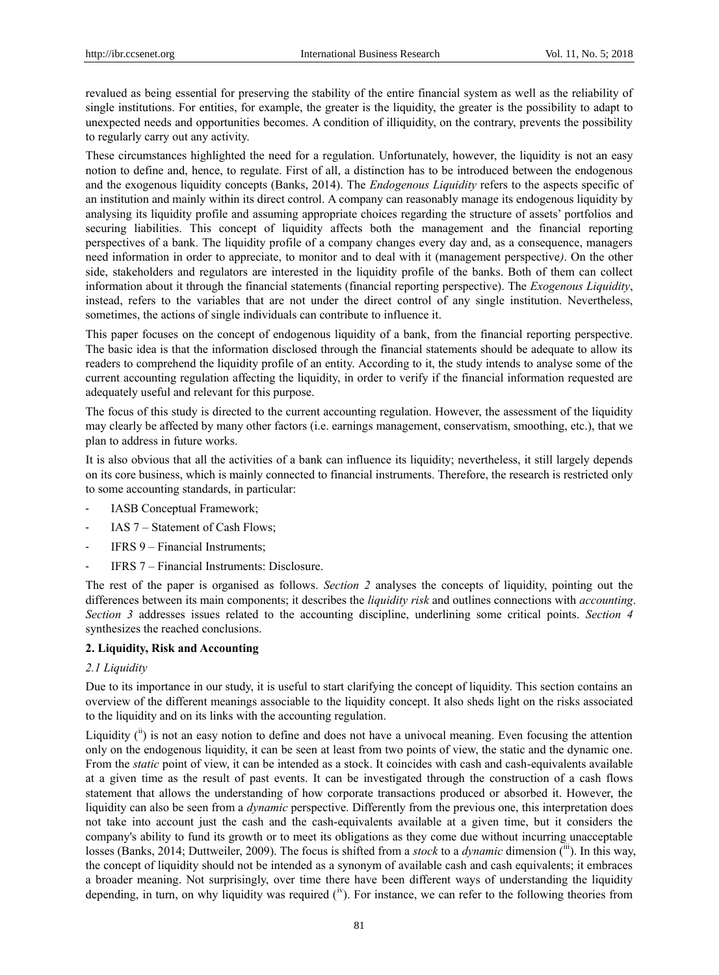revalued as being essential for preserving the stability of the entire financial system as well as the reliability of single institutions. For entities, for example, the greater is the liquidity, the greater is the possibility to adapt to unexpected needs and opportunities becomes. A condition of illiquidity, on the contrary, prevents the possibility to regularly carry out any activity.

These circumstances highlighted the need for a regulation. Unfortunately, however, the liquidity is not an easy notion to define and, hence, to regulate. First of all, a distinction has to be introduced between the endogenous and the exogenous liquidity concepts (Banks, 2014). The *Endogenous Liquidity* refers to the aspects specific of an institution and mainly within its direct control. A company can reasonably manage its endogenous liquidity by analysing its liquidity profile and assuming appropriate choices regarding the structure of assets' portfolios and securing liabilities. This concept of liquidity affects both the management and the financial reporting perspectives of a bank. The liquidity profile of a company changes every day and, as a consequence, managers need information in order to appreciate, to monitor and to deal with it (management perspective*)*. On the other side, stakeholders and regulators are interested in the liquidity profile of the banks. Both of them can collect information about it through the financial statements (financial reporting perspective). The *Exogenous Liquidity*, instead, refers to the variables that are not under the direct control of any single institution. Nevertheless, sometimes, the actions of single individuals can contribute to influence it.

This paper focuses on the concept of endogenous liquidity of a bank, from the financial reporting perspective. The basic idea is that the information disclosed through the financial statements should be adequate to allow its readers to comprehend the liquidity profile of an entity. According to it, the study intends to analyse some of the current accounting regulation affecting the liquidity, in order to verify if the financial information requested are adequately useful and relevant for this purpose.

The focus of this study is directed to the current accounting regulation. However, the assessment of the liquidity may clearly be affected by many other factors (i.e. earnings management, conservatism, smoothing, etc.), that we plan to address in future works.

It is also obvious that all the activities of a bank can influence its liquidity; nevertheless, it still largely depends on its core business, which is mainly connected to financial instruments. Therefore, the research is restricted only to some accounting standards, in particular:

- IASB Conceptual Framework;
- IAS 7 Statement of Cash Flows;
- IFRS 9 Financial Instruments:
- IFRS 7 Financial Instruments: Disclosure.

The rest of the paper is organised as follows. *Section 2* analyses the concepts of liquidity, pointing out the differences between its main components; it describes the *liquidity risk* and outlines connections with *accounting*. *Section 3* addresses issues related to the accounting discipline, underlining some critical points. *Section 4* synthesizes the reached conclusions.

# **2. Liquidity, Risk and Accounting**

## *2.1 Liquidity*

Due to its importance in our study, it is useful to start clarifying the concept of liquidity. This section contains an overview of the different meanings associable to the liquidity concept. It also sheds light on the risks associated to the liquidity and on its links with the accounting regulation.

Liquidity  $\binom{ii}{i}$  is not an easy notion to define and does not have a univocal meaning. Even focusing the attention only on the endogenous liquidity, it can be seen at least from two points of view, the static and the dynamic one. From the *static* point of view, it can be intended as a stock. It coincides with cash and cash-equivalents available at a given time as the result of past events. It can be investigated through the construction of a cash flows statement that allows the understanding of how corporate transactions produced or absorbed it. However, the liquidity can also be seen from a *dynamic* perspective. Differently from the previous one, this interpretation does not take into account just the cash and the cash-equivalents available at a given time, but it considers the company's ability to fund its growth or to meet its obligations as they come due without incurring unacceptable losses (Banks, 2014; Duttweiler, 2009). The focus is shifted from a *stock* to a *dynamic* dimension (iii). In this way, the concept of liquidity should not be intended as a synonym of available cash and cash equivalents; it embraces a broader meaning. Not surprisingly, over time there have been different ways of understanding the liquidity depending, in turn, on why liquidity was required  $(\dot{v})$ . For instance, we can refer to the following theories from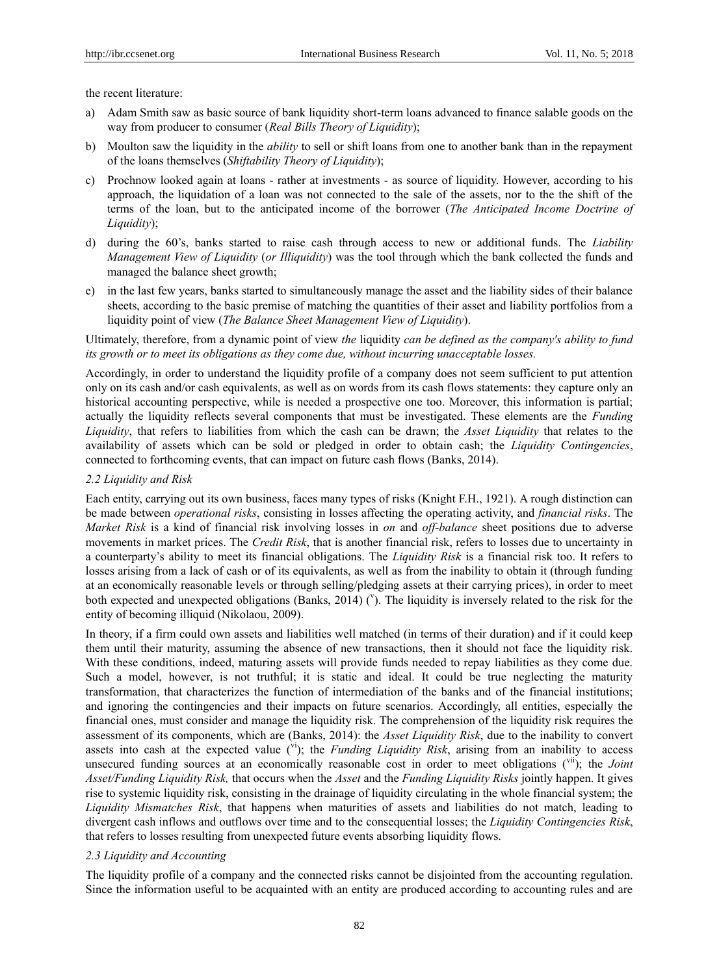the recent literature:

- a) Adam Smith saw as basic source of bank liquidity short-term loans advanced to finance salable goods on the way from producer to consumer (*Real Bills Theory of Liquidity*);
- b) Moulton saw the liquidity in the *ability* to sell or shift loans from one to another bank than in the repayment of the loans themselves (*Shiftability Theory of Liquidity*);
- c) Prochnow looked again at loans rather at investments as source of liquidity. However, according to his approach, the liquidation of a loan was not connected to the sale of the assets, nor to the the shift of the terms of the loan, but to the anticipated income of the borrower (*The Anticipated Income Doctrine of Liquidity*);
- d) during the 60's, banks started to raise cash through access to new or additional funds. The *Liability Management View of Liquidity* (*or Illiquidity*) was the tool through which the bank collected the funds and managed the balance sheet growth;
- e) in the last few years, banks started to simultaneously manage the asset and the liability sides of their balance sheets, according to the basic premise of matching the quantities of their asset and liability portfolios from a liquidity point of view (*The Balance Sheet Management View of Liquidity*).

Ultimately, therefore, from a dynamic point of view *the* liquidity *can be defined as the company's ability to fund its growth or to meet its obligations as they come due, without incurring unacceptable losses.*

Accordingly, in order to understand the liquidity profile of a company does not seem sufficient to put attention only on its cash and/or cash equivalents, as well as on words from its cash flows statements: they capture only an historical accounting perspective, while is needed a prospective one too. Moreover, this information is partial; actually the liquidity reflects several components that must be investigated. These elements are the *Funding Liquidity*, that refers to liabilities from which the cash can be drawn; the *Asset Liquidity* that relates to the availability of assets which can be sold or pledged in order to obtain cash; the *Liquidity Contingencies*, connected to forthcoming events, that can impact on future cash flows (Banks, 2014).

## *2.2 Liquidity and Risk*

Each entity, carrying out its own business, faces many types of risks (Knight F.H., 1921). A rough distinction can be made between *operational risks*, consisting in losses affecting the operating activity, and *financial risks*. The *Market Risk* is a kind of financial risk involving losses in *on* and *off*-*balance* sheet positions due to adverse movements in market prices. The *Credit Risk*, that is another financial risk, refers to losses due to uncertainty in a counterparty's ability to meet its financial obligations. The *Liquidity Risk* is a financial risk too. It refers to losses arising from a lack of cash or of its equivalents, as well as from the inability to obtain it (through funding at an economically reasonable levels or through selling/pledging assets at their carrying prices), in order to meet both expected and unexpected obligations (Banks, 2014) ('). The liquidity is inversely related to the risk for the entity of becoming illiquid (Nikolaou, 2009).

In theory, if a firm could own assets and liabilities well matched (in terms of their duration) and if it could keep them until their maturity, assuming the absence of new transactions, then it should not face the liquidity risk. With these conditions, indeed, maturing assets will provide funds needed to repay liabilities as they come due. Such a model, however, is not truthful; it is static and ideal. It could be true neglecting the maturity transformation, that characterizes the function of intermediation of the banks and of the financial institutions; and ignoring the contingencies and their impacts on future scenarios. Accordingly, all entities, especially the financial ones, must consider and manage the liquidity risk. The comprehension of the liquidity risk requires the assessment of its components, which are (Banks, 2014): the *Asset Liquidity Risk*, due to the inability to convert assets into cash at the expected value  $(v<sup>i</sup>)$ ; the *Funding Liquidity Risk*, arising from an inability to access unsecured funding sources at an economically reasonable cost in order to meet obligations (<sup>vii</sup>); the *Joint Asset/Funding Liquidity Risk,* that occurs when the *Asset* and the *Funding Liquidity Risks* jointly happen. It gives rise to systemic liquidity risk, consisting in the drainage of liquidity circulating in the whole financial system; the *Liquidity Mismatches Risk*, that happens when maturities of assets and liabilities do not match, leading to divergent cash inflows and outflows over time and to the consequential losses; the *Liquidity Contingencies Risk*, that refers to losses resulting from unexpected future events absorbing liquidity flows.

#### *2.3 Liquidity and Accounting*

The liquidity profile of a company and the connected risks cannot be disjointed from the accounting regulation. Since the information useful to be acquainted with an entity are produced according to accounting rules and are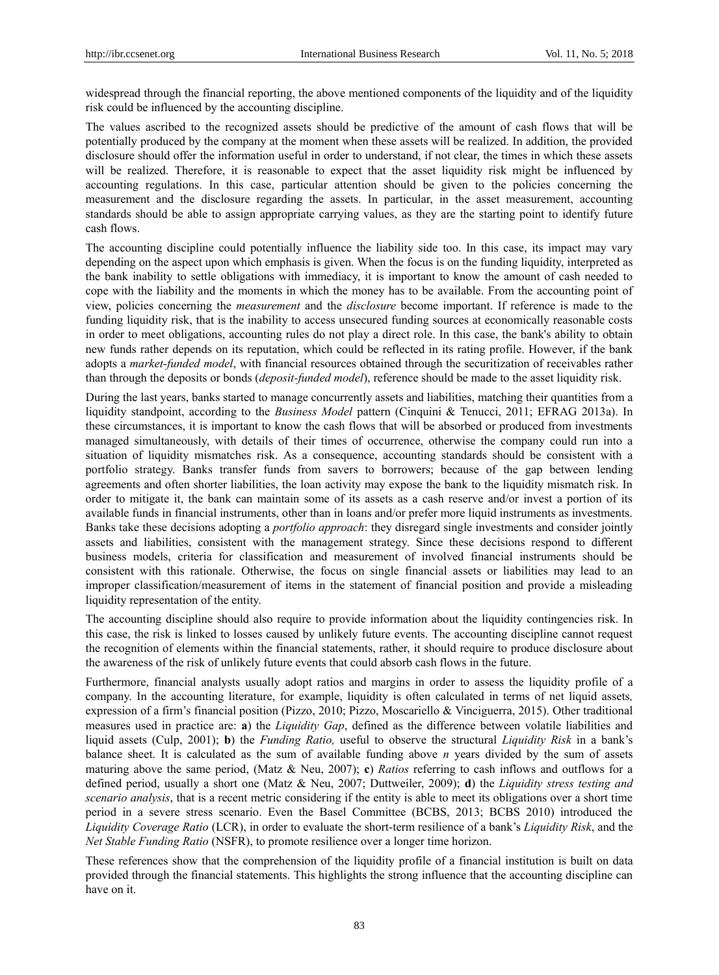widespread through the financial reporting, the above mentioned components of the liquidity and of the liquidity risk could be influenced by the accounting discipline.

The values ascribed to the recognized assets should be predictive of the amount of cash flows that will be potentially produced by the company at the moment when these assets will be realized. In addition, the provided disclosure should offer the information useful in order to understand, if not clear, the times in which these assets will be realized. Therefore, it is reasonable to expect that the asset liquidity risk might be influenced by accounting regulations. In this case, particular attention should be given to the policies concerning the measurement and the disclosure regarding the assets. In particular, in the asset measurement, accounting standards should be able to assign appropriate carrying values, as they are the starting point to identify future cash flows.

The accounting discipline could potentially influence the liability side too. In this case, its impact may vary depending on the aspect upon which emphasis is given. When the focus is on the funding liquidity, interpreted as the bank inability to settle obligations with immediacy, it is important to know the amount of cash needed to cope with the liability and the moments in which the money has to be available. From the accounting point of view, policies concerning the *measurement* and the *disclosure* become important. If reference is made to the funding liquidity risk, that is the inability to access unsecured funding sources at economically reasonable costs in order to meet obligations, accounting rules do not play a direct role. In this case, the bank's ability to obtain new funds rather depends on its reputation, which could be reflected in its rating profile. However, if the bank adopts a *market-funded model*, with financial resources obtained through the securitization of receivables rather than through the deposits or bonds (*deposit-funded model*), reference should be made to the asset liquidity risk.

During the last years, banks started to manage concurrently assets and liabilities, matching their quantities from a liquidity standpoint, according to the *Business Model* pattern (Cinquini & Tenucci, 2011; EFRAG 2013a). In these circumstances, it is important to know the cash flows that will be absorbed or produced from investments managed simultaneously, with details of their times of occurrence, otherwise the company could run into a situation of liquidity mismatches risk. As a consequence, accounting standards should be consistent with a portfolio strategy. Banks transfer funds from savers to borrowers; because of the gap between lending agreements and often shorter liabilities, the loan activity may expose the bank to the liquidity mismatch risk. In order to mitigate it, the bank can maintain some of its assets as a cash reserve and/or invest a portion of its available funds in financial instruments, other than in loans and/or prefer more liquid instruments as investments. Banks take these decisions adopting a *portfolio approach*: they disregard single investments and consider jointly assets and liabilities, consistent with the management strategy. Since these decisions respond to different business models, criteria for classification and measurement of involved financial instruments should be consistent with this rationale. Otherwise, the focus on single financial assets or liabilities may lead to an improper classification/measurement of items in the statement of financial position and provide a misleading liquidity representation of the entity.

The accounting discipline should also require to provide information about the liquidity contingencies risk. In this case, the risk is linked to losses caused by unlikely future events. The accounting discipline cannot request the recognition of elements within the financial statements, rather, it should require to produce disclosure about the awareness of the risk of unlikely future events that could absorb cash flows in the future.

Furthermore, financial analysts usually adopt ratios and margins in order to assess the liquidity profile of a company. In the accounting literature, for example, liquidity is often calculated in terms of net liquid assets*,*  expression of a firm's financial position (Pizzo, 2010; Pizzo, Moscariello & Vinciguerra, 2015). Other traditional measures used in practice are: **a**) the *Liquidity Gap*, defined as the difference between volatile liabilities and liquid assets (Culp, 2001); **b**) the *Funding Ratio,* useful to observe the structural *Liquidity Risk* in a bank's balance sheet. It is calculated as the sum of available funding above *n* years divided by the sum of assets maturing above the same period, (Matz & Neu, 2007); **c**) *Ratios* referring to cash inflows and outflows for a defined period, usually a short one (Matz & Neu, 2007; Duttweiler, 2009); **d**) the *Liquidity stress testing and scenario analysis*, that is a recent metric considering if the entity is able to meet its obligations over a short time period in a severe stress scenario. Even the Basel Committee (BCBS, 2013; BCBS 2010) introduced the *Liquidity Coverage Ratio* (LCR), in order to evaluate the short-term resilience of a bank's *Liquidity Risk*, and the *Net Stable Funding Ratio* (NSFR), to promote resilience over a longer time horizon.

These references show that the comprehension of the liquidity profile of a financial institution is built on data provided through the financial statements. This highlights the strong influence that the accounting discipline can have on it.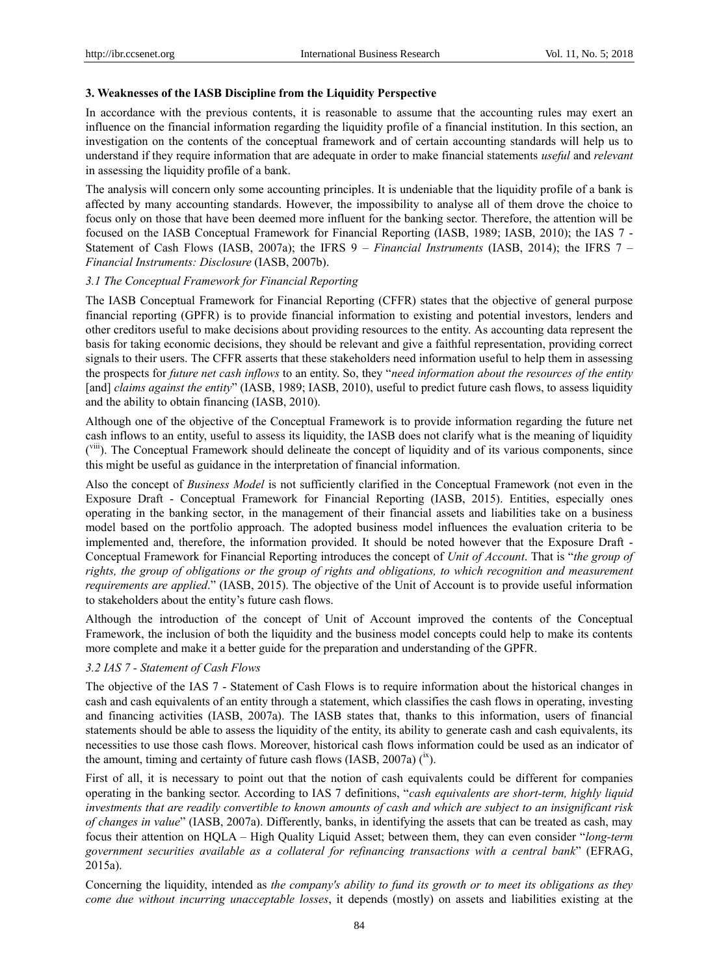## **3. Weaknesses of the IASB Discipline from the Liquidity Perspective**

In accordance with the previous contents, it is reasonable to assume that the accounting rules may exert an influence on the financial information regarding the liquidity profile of a financial institution. In this section, an investigation on the contents of the conceptual framework and of certain accounting standards will help us to understand if they require information that are adequate in order to make financial statements *useful* and *relevant* in assessing the liquidity profile of a bank.

The analysis will concern only some accounting principles. It is undeniable that the liquidity profile of a bank is affected by many accounting standards. However, the impossibility to analyse all of them drove the choice to focus only on those that have been deemed more influent for the banking sector. Therefore, the attention will be focused on the IASB Conceptual Framework for Financial Reporting (IASB, 1989; IASB, 2010); the IAS 7 - Statement of Cash Flows (IASB, 2007a); the IFRS 9 – *Financial Instruments* (IASB, 2014); the IFRS 7 – *Financial Instruments: Disclosure* (IASB, 2007b).

## *3.1 The Conceptual Framework for Financial Reporting*

The IASB Conceptual Framework for Financial Reporting (CFFR) states that the objective of general purpose financial reporting (GPFR) is to provide financial information to existing and potential investors, lenders and other creditors useful to make decisions about providing resources to the entity. As accounting data represent the basis for taking economic decisions, they should be relevant and give a faithful representation, providing correct signals to their users. The CFFR asserts that these stakeholders need information useful to help them in assessing the prospects for *future net cash inflows* to an entity. So, they "*need information about the resources of the entity*  [and] *claims against the entity*" (IASB, 1989; IASB, 2010), useful to predict future cash flows, to assess liquidity and the ability to obtain financing (IASB, 2010).

Although one of the objective of the Conceptual Framework is to provide information regarding the future net cash inflows to an entity, useful to assess its liquidity, the IASB does not clarify what is the meaning of liquidity (viii). The Conceptual Framework should delineate the concept of liquidity and of its various components, since this might be useful as guidance in the interpretation of financial information.

Also the concept of *Business Model* is not sufficiently clarified in the Conceptual Framework (not even in the Exposure Draft - Conceptual Framework for Financial Reporting (IASB, 2015). Entities, especially ones operating in the banking sector, in the management of their financial assets and liabilities take on a business model based on the portfolio approach. The adopted business model influences the evaluation criteria to be implemented and, therefore, the information provided. It should be noted however that the Exposure Draft - Conceptual Framework for Financial Reporting introduces the concept of *Unit of Account*. That is "*the group of rights, the group of obligations or the group of rights and obligations, to which recognition and measurement requirements are applied*." (IASB, 2015). The objective of the Unit of Account is to provide useful information to stakeholders about the entity's future cash flows.

Although the introduction of the concept of Unit of Account improved the contents of the Conceptual Framework, the inclusion of both the liquidity and the business model concepts could help to make its contents more complete and make it a better guide for the preparation and understanding of the GPFR.

# *3.2 IAS 7 - Statement of Cash Flows*

The objective of the IAS 7 - Statement of Cash Flows is to require information about the historical changes in cash and cash equivalents of an entity through a statement, which classifies the cash flows in operating, investing and financing activities (IASB, 2007a). The IASB states that, thanks to this information, users of financial statements should be able to assess the liquidity of the entity, its ability to generate cash and cash equivalents, its necessities to use those cash flows. Moreover, historical cash flows information could be used as an indicator of the amount, timing and certainty of future cash flows (IASB, 2007a)  $(^{ix})$ .

First of all, it is necessary to point out that the notion of cash equivalents could be different for companies operating in the banking sector. According to IAS 7 definitions, "*cash equivalents are short-term, highly liquid investments that are readily convertible to known amounts of cash and which are subject to an insignificant risk of changes in value*" (IASB, 2007a). Differently, banks, in identifying the assets that can be treated as cash, may focus their attention on HQLA – High Quality Liquid Asset; between them, they can even consider "*long-term government securities available as a collateral for refinancing transactions with a central bank*" (EFRAG, 2015a).

Concerning the liquidity, intended as *the company's ability to fund its growth or to meet its obligations as they come due without incurring unacceptable losses*, it depends (mostly) on assets and liabilities existing at the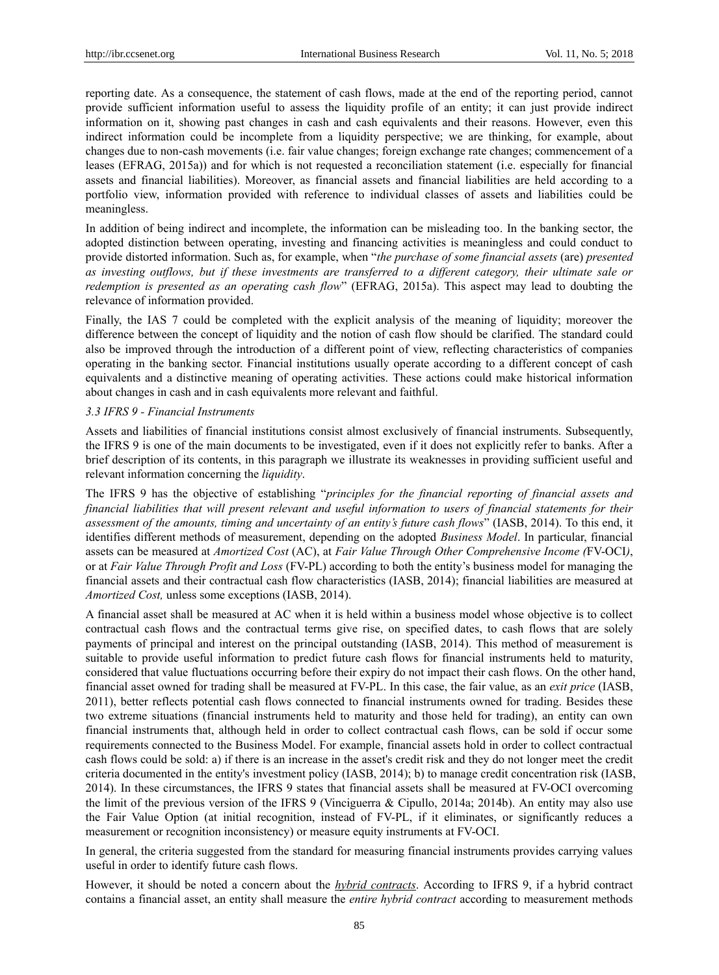reporting date. As a consequence, the statement of cash flows, made at the end of the reporting period, cannot provide sufficient information useful to assess the liquidity profile of an entity; it can just provide indirect information on it, showing past changes in cash and cash equivalents and their reasons. However, even this indirect information could be incomplete from a liquidity perspective; we are thinking, for example, about changes due to non-cash movements (i.e. fair value changes; foreign exchange rate changes; commencement of a leases (EFRAG, 2015a)) and for which is not requested a reconciliation statement (i.e. especially for financial assets and financial liabilities). Moreover, as financial assets and financial liabilities are held according to a portfolio view, information provided with reference to individual classes of assets and liabilities could be meaningless.

In addition of being indirect and incomplete, the information can be misleading too. In the banking sector, the adopted distinction between operating, investing and financing activities is meaningless and could conduct to provide distorted information. Such as, for example, when "*the purchase of some financial assets* (are) *presented as investing outflows, but if these investments are transferred to a different category, their ultimate sale or redemption is presented as an operating cash flow*" (EFRAG, 2015a). This aspect may lead to doubting the relevance of information provided.

Finally, the IAS 7 could be completed with the explicit analysis of the meaning of liquidity; moreover the difference between the concept of liquidity and the notion of cash flow should be clarified. The standard could also be improved through the introduction of a different point of view, reflecting characteristics of companies operating in the banking sector. Financial institutions usually operate according to a different concept of cash equivalents and a distinctive meaning of operating activities. These actions could make historical information about changes in cash and in cash equivalents more relevant and faithful.

#### *3.3 IFRS 9 - Financial Instruments*

Assets and liabilities of financial institutions consist almost exclusively of financial instruments. Subsequently, the IFRS 9 is one of the main documents to be investigated, even if it does not explicitly refer to banks. After a brief description of its contents, in this paragraph we illustrate its weaknesses in providing sufficient useful and relevant information concerning the *liquidity*.

The IFRS 9 has the objective of establishing "*principles for the financial reporting of financial assets and financial liabilities that will present relevant and useful information to users of financial statements for their assessment of the amounts, timing and uncertainty of an entity's future cash flows*" (IASB, 2014). To this end, it identifies different methods of measurement, depending on the adopted *Business Model*. In particular, financial assets can be measured at *Amortized Cost* (AC), at *Fair Value Through Other Comprehensive Income (*FV-OCI*)*, or at *Fair Value Through Profit and Loss* (FV-PL) according to both the entity's business model for managing the financial assets and their contractual cash flow characteristics (IASB, 2014); financial liabilities are measured at *Amortized Cost,* unless some exceptions (IASB, 2014).

A financial asset shall be measured at AC when it is held within a business model whose objective is to collect contractual cash flows and the contractual terms give rise, on specified dates, to cash flows that are solely payments of principal and interest on the principal outstanding (IASB, 2014). This method of measurement is suitable to provide useful information to predict future cash flows for financial instruments held to maturity, considered that value fluctuations occurring before their expiry do not impact their cash flows. On the other hand, financial asset owned for trading shall be measured at FV-PL. In this case, the fair value, as an *exit price* (IASB, 2011), better reflects potential cash flows connected to financial instruments owned for trading. Besides these two extreme situations (financial instruments held to maturity and those held for trading), an entity can own financial instruments that, although held in order to collect contractual cash flows, can be sold if occur some requirements connected to the Business Model. For example, financial assets hold in order to collect contractual cash flows could be sold: a) if there is an increase in the asset's credit risk and they do not longer meet the credit criteria documented in the entity's investment policy (IASB, 2014); b) to manage credit concentration risk (IASB, 2014). In these circumstances, the IFRS 9 states that financial assets shall be measured at FV-OCI overcoming the limit of the previous version of the IFRS 9 (Vinciguerra & Cipullo, 2014a; 2014b). An entity may also use the Fair Value Option (at initial recognition, instead of FV-PL, if it eliminates, or significantly reduces a measurement or recognition inconsistency) or measure equity instruments at FV-OCI.

In general, the criteria suggested from the standard for measuring financial instruments provides carrying values useful in order to identify future cash flows.

However, it should be noted a concern about the *hybrid contracts*. According to IFRS 9, if a hybrid contract contains a financial asset, an entity shall measure the *entire hybrid contract* according to measurement methods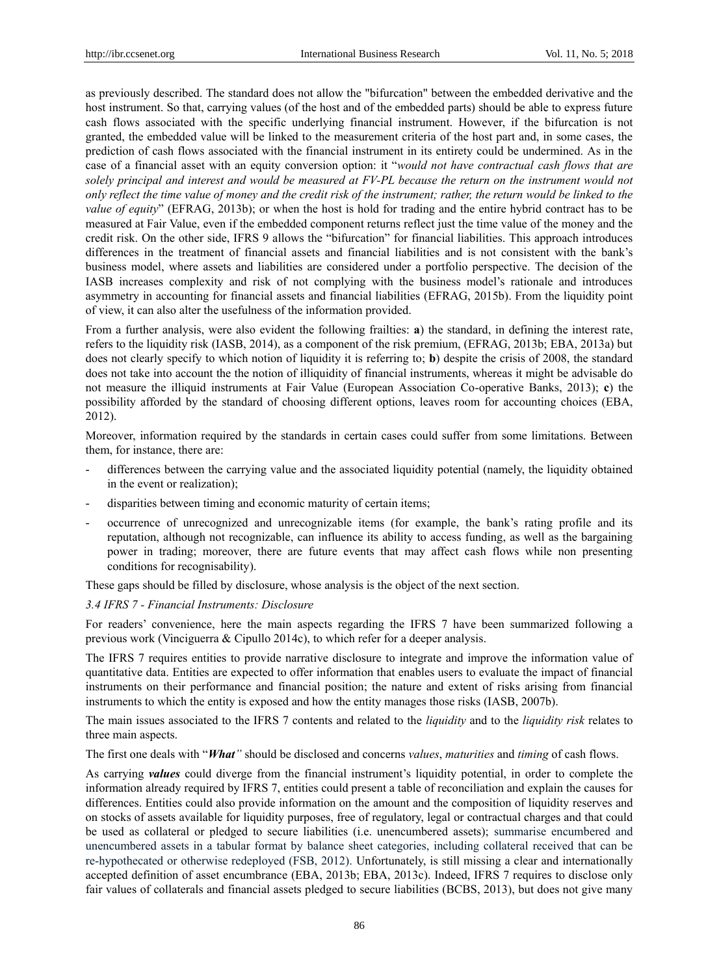as previously described. The standard does not allow the "bifurcation" between the embedded derivative and the host instrument. So that, carrying values (of the host and of the embedded parts) should be able to express future cash flows associated with the specific underlying financial instrument. However, if the bifurcation is not granted, the embedded value will be linked to the measurement criteria of the host part and, in some cases, the prediction of cash flows associated with the financial instrument in its entirety could be undermined. As in the case of a financial asset with an equity conversion option: it "*would not have contractual cash flows that are solely principal and interest and would be measured at FV-PL because the return on the instrument would not only reflect the time value of money and the credit risk of the instrument; rather, the return would be linked to the value of equity*" (EFRAG, 2013b); or when the host is hold for trading and the entire hybrid contract has to be measured at Fair Value, even if the embedded component returns reflect just the time value of the money and the credit risk. On the other side, IFRS 9 allows the "bifurcation" for financial liabilities. This approach introduces differences in the treatment of financial assets and financial liabilities and is not consistent with the bank's business model, where assets and liabilities are considered under a portfolio perspective. The decision of the IASB increases complexity and risk of not complying with the business model's rationale and introduces asymmetry in accounting for financial assets and financial liabilities (EFRAG, 2015b). From the liquidity point of view, it can also alter the usefulness of the information provided.

From a further analysis, were also evident the following frailties: **a**) the standard, in defining the interest rate, refers to the liquidity risk (IASB, 2014), as a component of the risk premium, (EFRAG, 2013b; EBA, 2013a) but does not clearly specify to which notion of liquidity it is referring to; **b**) despite the crisis of 2008, the standard does not take into account the the notion of illiquidity of financial instruments, whereas it might be advisable do not measure the illiquid instruments at Fair Value (European Association Co-operative Banks, 2013); **c**) the possibility afforded by the standard of choosing different options, leaves room for accounting choices (EBA, 2012).

Moreover, information required by the standards in certain cases could suffer from some limitations. Between them, for instance, there are:

- differences between the carrying value and the associated liquidity potential (namely, the liquidity obtained in the event or realization);
- disparities between timing and economic maturity of certain items;
- occurrence of unrecognized and unrecognizable items (for example, the bank's rating profile and its reputation, although not recognizable, can influence its ability to access funding, as well as the bargaining power in trading; moreover, there are future events that may affect cash flows while non presenting conditions for recognisability).

These gaps should be filled by disclosure, whose analysis is the object of the next section.

# *3.4 IFRS 7 - Financial Instruments: Disclosure*

For readers' convenience, here the main aspects regarding the IFRS 7 have been summarized following a previous work (Vinciguerra & Cipullo 2014c), to which refer for a deeper analysis.

The IFRS 7 requires entities to provide narrative disclosure to integrate and improve the information value of quantitative data. Entities are expected to offer information that enables users to evaluate the impact of financial instruments on their performance and financial position; the nature and extent of risks arising from financial instruments to which the entity is exposed and how the entity manages those risks (IASB, 2007b).

The main issues associated to the IFRS 7 contents and related to the *liquidity* and to the *liquidity risk* relates to three main aspects.

The first one deals with "*What"* should be disclosed and concerns *values*, *maturities* and *timing* of cash flows.

As carrying *values* could diverge from the financial instrument's liquidity potential, in order to complete the information already required by IFRS 7, entities could present a table of reconciliation and explain the causes for differences. Entities could also provide information on the amount and the composition of liquidity reserves and on stocks of assets available for liquidity purposes, free of regulatory, legal or contractual charges and that could be used as collateral or pledged to secure liabilities (i.e. unencumbered assets); summarise encumbered and unencumbered assets in a tabular format by balance sheet categories, including collateral received that can be re-hypothecated or otherwise redeployed (FSB, 2012). Unfortunately, is still missing a clear and internationally accepted definition of asset encumbrance (EBA, 2013b; EBA, 2013c). Indeed, IFRS 7 requires to disclose only fair values of collaterals and financial assets pledged to secure liabilities (BCBS, 2013), but does not give many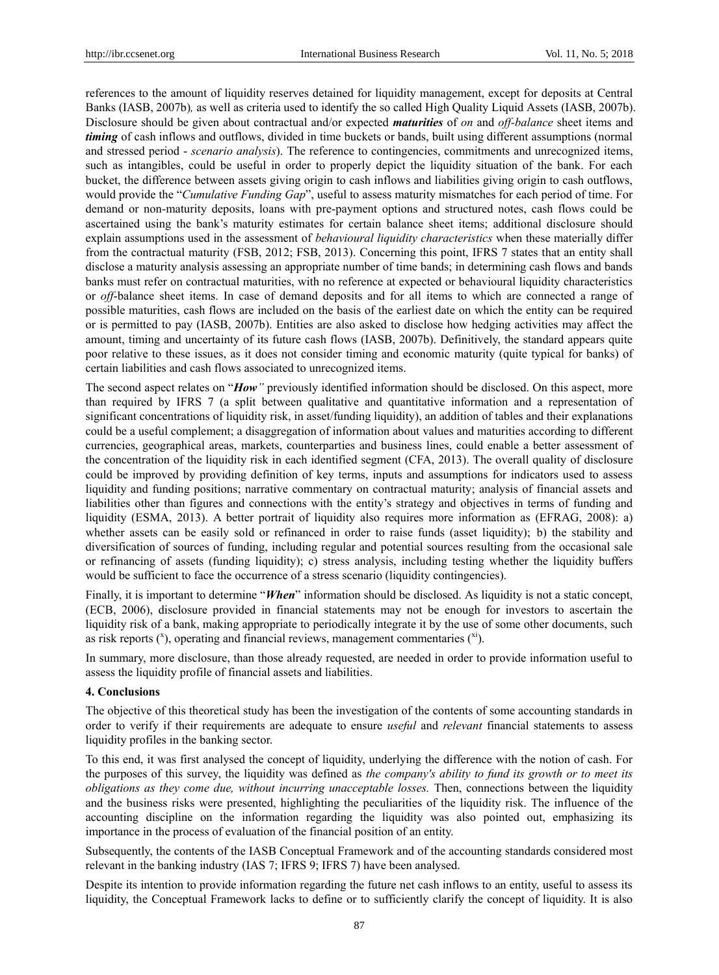references to the amount of liquidity reserves detained for liquidity management, except for deposits at Central Banks (IASB, 2007b)*,* as well as criteria used to identify the so called High Quality Liquid Assets (IASB, 2007b). Disclosure should be given about contractual and/or expected *maturities* of *on* and *off-balance* sheet items and *timing* of cash inflows and outflows, divided in time buckets or bands, built using different assumptions (normal and stressed period - *scenario analysis*). The reference to contingencies, commitments and unrecognized items, such as intangibles, could be useful in order to properly depict the liquidity situation of the bank. For each bucket, the difference between assets giving origin to cash inflows and liabilities giving origin to cash outflows, would provide the "*Cumulative Funding Gap*", useful to assess maturity mismatches for each period of time. For demand or non-maturity deposits, loans with pre-payment options and structured notes, cash flows could be ascertained using the bank's maturity estimates for certain balance sheet items; additional disclosure should explain assumptions used in the assessment of *behavioural liquidity characteristics* when these materially differ from the contractual maturity (FSB, 2012; FSB, 2013). Concerning this point, IFRS 7 states that an entity shall disclose a maturity analysis assessing an appropriate number of time bands; in determining cash flows and bands banks must refer on contractual maturities, with no reference at expected or behavioural liquidity characteristics or *off*-balance sheet items. In case of demand deposits and for all items to which are connected a range of possible maturities, cash flows are included on the basis of the earliest date on which the entity can be required or is permitted to pay (IASB, 2007b). Entities are also asked to disclose how hedging activities may affect the amount, timing and uncertainty of its future cash flows (IASB, 2007b). Definitively, the standard appears quite poor relative to these issues, as it does not consider timing and economic maturity (quite typical for banks) of certain liabilities and cash flows associated to unrecognized items.

The second aspect relates on "*How*" previously identified information should be disclosed. On this aspect, more than required by IFRS 7 (a split between qualitative and quantitative information and a representation of significant concentrations of liquidity risk, in asset/funding liquidity), an addition of tables and their explanations could be a useful complement; a disaggregation of information about values and maturities according to different currencies, geographical areas, markets, counterparties and business lines, could enable a better assessment of the concentration of the liquidity risk in each identified segment (CFA, 2013). The overall quality of disclosure could be improved by providing definition of key terms, inputs and assumptions for indicators used to assess liquidity and funding positions; narrative commentary on contractual maturity; analysis of financial assets and liabilities other than figures and connections with the entity's strategy and objectives in terms of funding and liquidity (ESMA, 2013). A better portrait of liquidity also requires more information as (EFRAG, 2008): a) whether assets can be easily sold or refinanced in order to raise funds (asset liquidity); b) the stability and diversification of sources of funding, including regular and potential sources resulting from the occasional sale or refinancing of assets (funding liquidity); c) stress analysis, including testing whether the liquidity buffers would be sufficient to face the occurrence of a stress scenario (liquidity contingencies).

Finally, it is important to determine "*When*" information should be disclosed. As liquidity is not a static concept, (ECB, 2006), disclosure provided in financial statements may not be enough for investors to ascertain the liquidity risk of a bank, making appropriate to periodically integrate it by the use of some other documents, such as risk reports  $({}^{x})$ , operating and financial reviews, management commentaries  $({}^{x})$ .

In summary, more disclosure, than those already requested, are needed in order to provide information useful to assess the liquidity profile of financial assets and liabilities.

# **4. Conclusions**

The objective of this theoretical study has been the investigation of the contents of some accounting standards in order to verify if their requirements are adequate to ensure *useful* and *relevant* financial statements to assess liquidity profiles in the banking sector.

To this end, it was first analysed the concept of liquidity, underlying the difference with the notion of cash. For the purposes of this survey, the liquidity was defined as *the company's ability to fund its growth or to meet its obligations as they come due, without incurring unacceptable losses.* Then, connections between the liquidity and the business risks were presented, highlighting the peculiarities of the liquidity risk. The influence of the accounting discipline on the information regarding the liquidity was also pointed out, emphasizing its importance in the process of evaluation of the financial position of an entity.

Subsequently, the contents of the IASB Conceptual Framework and of the accounting standards considered most relevant in the banking industry (IAS 7; IFRS 9; IFRS 7) have been analysed.

Despite its intention to provide information regarding the future net cash inflows to an entity, useful to assess its liquidity, the Conceptual Framework lacks to define or to sufficiently clarify the concept of liquidity. It is also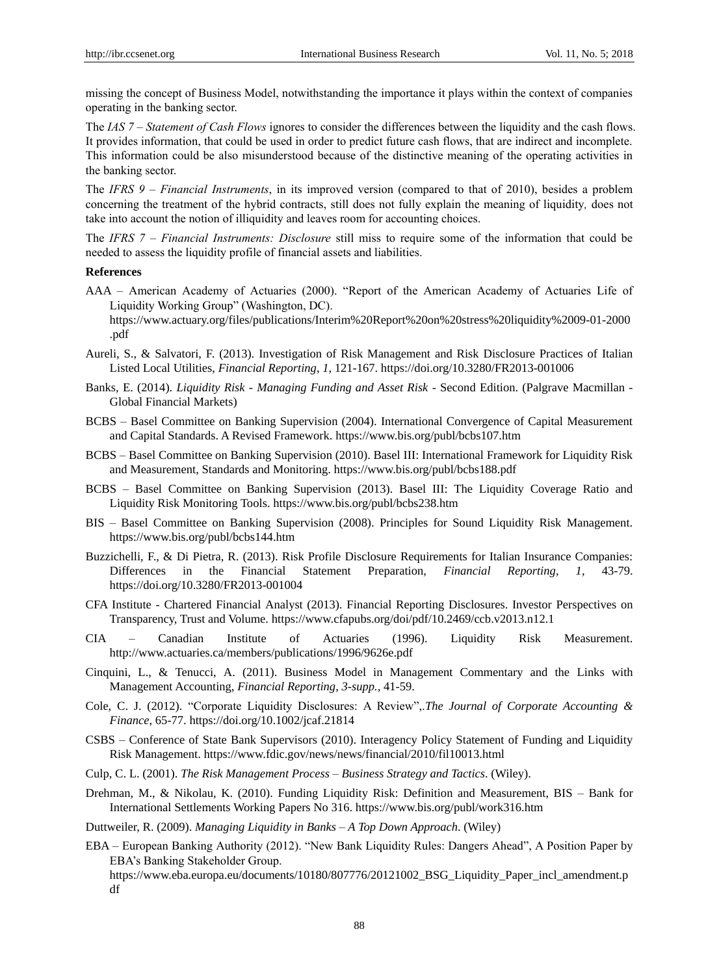missing the concept of Business Model, notwithstanding the importance it plays within the context of companies operating in the banking sector.

The *IAS 7 – Statement of Cash Flows* ignores to consider the differences between the liquidity and the cash flows. It provides information, that could be used in order to predict future cash flows, that are indirect and incomplete. This information could be also misunderstood because of the distinctive meaning of the operating activities in the banking sector.

The *IFRS 9 – Financial Instruments*, in its improved version (compared to that of 2010), besides a problem concerning the treatment of the hybrid contracts, still does not fully explain the meaning of liquidity*,* does not take into account the notion of illiquidity and leaves room for accounting choices.

The *IFRS 7 – Financial Instruments: Disclosure* still miss to require some of the information that could be needed to assess the liquidity profile of financial assets and liabilities.

## **References**

[df](https://www.eba.europa.eu/documents/10180/807776/20121002_BSG_Liquidity_Paper_incl_amendment.pdf)

AAA – American Academy of Actuaries (2000). "Report of the American Academy of Actuaries Life of Liquidity Working Group" (Washington, DC).

[https://www.actuary.org/files/publications/Interim%20Report%20on%20stress%20liquidity%2009-01-2000](https://www.actuary.org/files/publications/Interim%20Report%20on%20stress%20liquidity%2009-01-2000.pdf) [.pdf](https://www.actuary.org/files/publications/Interim%20Report%20on%20stress%20liquidity%2009-01-2000.pdf)

- Aureli, S., & Salvatori, F. (2013). Investigation of Risk Management and Risk Disclosure Practices of Italian Listed Local Utilities, *Financial Reporting*, *1,* 121-167. https://doi.org/10.3280/FR2013-001006
- Banks, E. (2014). *Liquidity Risk - Managing Funding and Asset Risk* Second Edition. (Palgrave Macmillan Global Financial Markets)
- BCBS Basel Committee on Banking Supervision (2004). International Convergence of Capital Measurement and Capital Standards. A Revised Framework. <https://www.bis.org/publ/bcbs107.htm>
- BCBS Basel Committee on Banking Supervision (2010). Basel III: International Framework for Liquidity Risk and Measurement, Standards and Monitoring[. https://www.bis.org/publ/bcbs188.pdf](https://www.bis.org/publ/bcbs188.pdf)
- BCBS Basel Committee on Banking Supervision (2013). Basel III: The Liquidity Coverage Ratio and Liquidity Risk Monitoring Tools.<https://www.bis.org/publ/bcbs238.htm>
- BIS Basel Committee on Banking Supervision (2008). Principles for Sound Liquidity Risk Management. <https://www.bis.org/publ/bcbs144.htm>
- Buzzichelli, F., & Di Pietra, R. (2013). Risk Profile Disclosure Requirements for Italian Insurance Companies: Differences in the Financial Statement Preparation, *Financial Reporting*, *1,* 43-79. https://doi.org/10.3280/FR2013-001004
- CFA Institute Chartered Financial Analyst (2013). Financial Reporting Disclosures. Investor Perspectives on Transparency, Trust and Volume.<https://www.cfapubs.org/doi/pdf/10.2469/ccb.v2013.n12.1>
- CIA Canadian Institute of Actuaries (1996). Liquidity Risk Measurement. <http://www.actuaries.ca/members/publications/1996/9626e.pdf>
- Cinquini, L., & Tenucci, A. (2011). Business Model in Management Commentary and the Links with Management Accounting, *Financial Reporting*, *3-supp.,* 41-59.
- Cole, C. J. (2012). "Corporate Liquidity Disclosures: A Review",.*The Journal of Corporate Accounting & Finance*, 65-77. https://doi.org/10.1002/jcaf.21814
- CSBS Conference of State Bank Supervisors (2010). Interagency Policy Statement of Funding and Liquidity Risk Management.<https://www.fdic.gov/news/news/financial/2010/fil10013.html>
- Culp, C. L. (2001). *The Risk Management Process – Business Strategy and Tactics*. (Wiley).
- Drehman, M., & Nikolau, K. (2010). Funding Liquidity Risk: Definition and Measurement, BIS Bank for International Settlements Working Papers No 316[. https://www.bis.org/publ/work316.htm](https://www.bis.org/publ/work316.htm)
- Duttweiler, R. (2009). *Managing Liquidity in Banks – A Top Down Approach*. (Wiley)
- EBA European Banking Authority (2012). "New Bank Liquidity Rules: Dangers Ahead", A Position Paper by EBA's Banking Stakeholder Group. [https://www.eba.europa.eu/documents/10180/807776/20121002\\_BSG\\_Liquidity\\_Paper\\_incl\\_amendment.p](https://www.eba.europa.eu/documents/10180/807776/20121002_BSG_Liquidity_Paper_incl_amendment.pdf)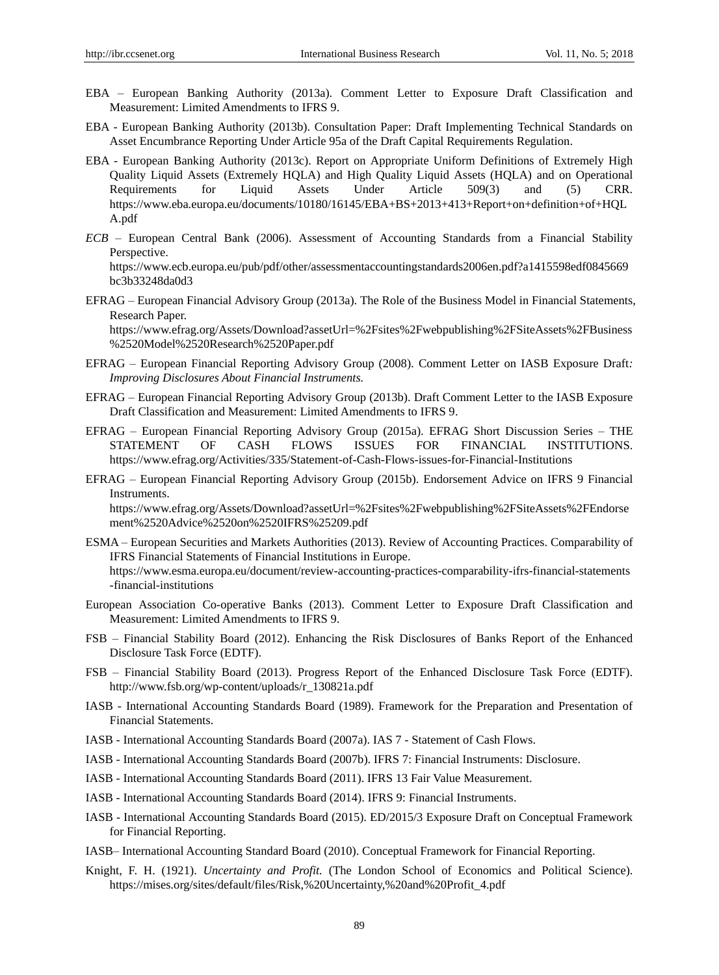- EBA European Banking Authority (2013a). Comment Letter to Exposure Draft Classification and Measurement: Limited Amendments to IFRS 9.
- EBA European Banking Authority (2013b). Consultation Paper: Draft Implementing Technical Standards on Asset Encumbrance Reporting Under Article 95a of the Draft Capital Requirements Regulation.
- EBA European Banking Authority (2013c). Report on Appropriate Uniform Definitions of Extremely High Quality Liquid Assets (Extremely HQLA) and High Quality Liquid Assets (HQLA) and on Operational Requirements for Liquid Assets Under Article 509(3) and (5) CRR. [https://www.eba.europa.eu/documents/10180/16145/EBA+BS+2013+413+Report+on+definition+of+HQL](https://www.eba.europa.eu/documents/10180/16145/EBA+BS+2013+413+Report+on+definition+of+HQLA.pdf) [A.pdf](https://www.eba.europa.eu/documents/10180/16145/EBA+BS+2013+413+Report+on+definition+of+HQLA.pdf)
- *ECB* European Central Bank (2006). Assessment of Accounting Standards from a Financial Stability Perspective. [https://www.ecb.europa.eu/pub/pdf/other/assessmentaccountingstandards2006en.pdf?a1415598edf0845669](https://www.ecb.europa.eu/pub/pdf/other/assessmentaccountingstandards2006en.pdf?a1415598edf0845669bc3b33248da0d3) [bc3b33248da0d3](https://www.ecb.europa.eu/pub/pdf/other/assessmentaccountingstandards2006en.pdf?a1415598edf0845669bc3b33248da0d3)
- EFRAG European Financial Advisory Group (2013a). The Role of the Business Model in Financial Statements, Research Paper.

[https://www.efrag.org/Assets/Download?assetUrl=%2Fsites%2Fwebpublishing%2FSiteAssets%2FBusiness](https://www.efrag.org/Assets/Download?assetUrl=%2Fsites%2Fwebpublishing%2FSiteAssets%2FBusiness%2520Model%2520Research%2520Paper.pdf) [%2520Model%2520Research%2520Paper.pdf](https://www.efrag.org/Assets/Download?assetUrl=%2Fsites%2Fwebpublishing%2FSiteAssets%2FBusiness%2520Model%2520Research%2520Paper.pdf)

- EFRAG European Financial Reporting Advisory Group (2008). Comment Letter on IASB Exposure Draft*: Improving Disclosures About Financial Instruments.*
- EFRAG European Financial Reporting Advisory Group (2013b). Draft Comment Letter to the IASB Exposure Draft Classification and Measurement: Limited Amendments to IFRS 9.
- EFRAG European Financial Reporting Advisory Group (2015a). EFRAG Short Discussion Series THE STATEMENT OF CASH FLOWS ISSUES FOR FINANCIAL INSTITUTIONS. <https://www.efrag.org/Activities/335/Statement-of-Cash-Flows-issues-for-Financial-Institutions>
- EFRAG European Financial Reporting Advisory Group (2015b). Endorsement Advice on IFRS 9 Financial Instruments. [https://www.efrag.org/Assets/Download?assetUrl=%2Fsites%2Fwebpublishing%2FSiteAssets%2FEndorse](https://www.efrag.org/Assets/Download?assetUrl=%2Fsites%2Fwebpublishing%2FSiteAssets%2FEndorsement%2520Advice%2520on%2520IFRS%25209.pdf) [ment%2520Advice%2520on%2520IFRS%25209.pdf](https://www.efrag.org/Assets/Download?assetUrl=%2Fsites%2Fwebpublishing%2FSiteAssets%2FEndorsement%2520Advice%2520on%2520IFRS%25209.pdf)
- ESMA European Securities and Markets Authorities (2013). Review of Accounting Practices. Comparability of IFRS Financial Statements of Financial Institutions in Europe. [https://www.esma.europa.eu/document/review-accounting-practices-comparability-ifrs-financial-statements](https://www.esma.europa.eu/document/review-accounting-practices-comparability-ifrs-financial-statements-financial-institutions) [-financial-institutions](https://www.esma.europa.eu/document/review-accounting-practices-comparability-ifrs-financial-statements-financial-institutions)
- European Association Co-operative Banks (2013). Comment Letter to Exposure Draft Classification and Measurement: Limited Amendments to IFRS 9.
- FSB Financial Stability Board (2012). Enhancing the Risk Disclosures of Banks Report of the Enhanced Disclosure Task Force (EDTF).
- FSB Financial Stability Board (2013). Progress Report of the Enhanced Disclosure Task Force (EDTF). [http://www.fsb.org/wp-content/uploads/r\\_130821a.pdf](http://www.fsb.org/wp-content/uploads/r_130821a.pdf)
- IASB International Accounting Standards Board (1989). Framework for the Preparation and Presentation of Financial Statements.
- IASB International Accounting Standards Board (2007a). IAS 7 Statement of Cash Flows.
- IASB International Accounting Standards Board (2007b). IFRS 7: Financial Instruments: Disclosure.
- IASB International Accounting Standards Board (2011). IFRS 13 Fair Value Measurement.
- IASB International Accounting Standards Board (2014). IFRS 9: Financial Instruments.
- IASB International Accounting Standards Board (2015). ED/2015/3 Exposure Draft on Conceptual Framework for Financial Reporting.
- IASB– International Accounting Standard Board (2010). Conceptual Framework for Financial Reporting.
- Knight, F. H. (1921). *Uncertainty and Profit.* (The London School of Economics and Political Science). [https://mises.org/sites/default/files/Risk,%20Uncertainty,%20and%20Profit\\_4.pdf](https://mises.org/sites/default/files/Risk,%20Uncertainty,%20and%20Profit_4.pdf)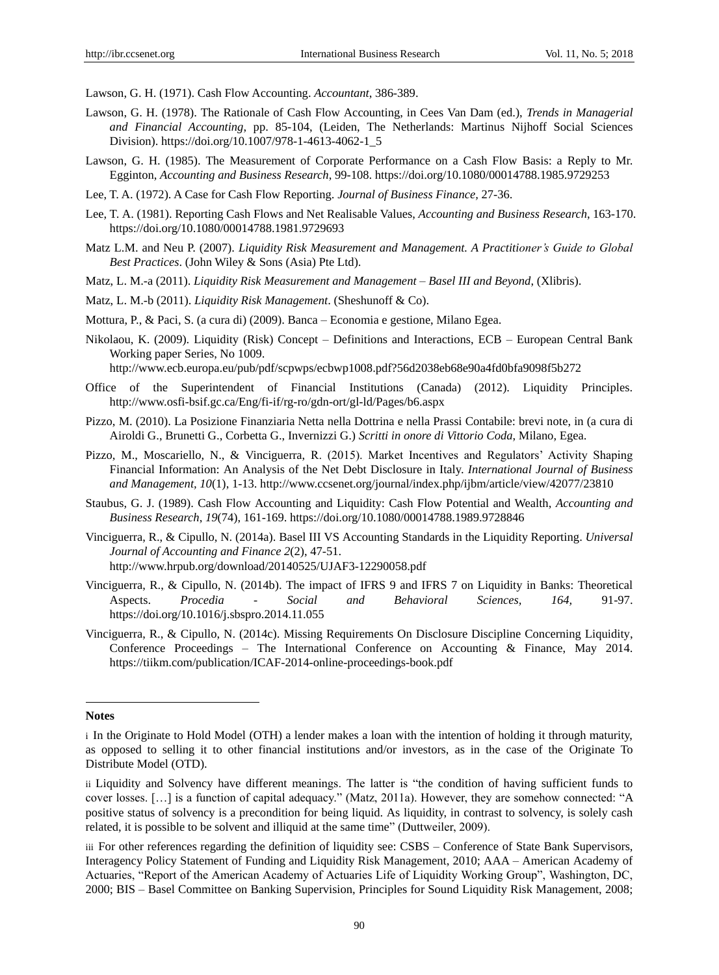Lawson, G. H. (1971). Cash Flow Accounting. *Accountant*, 386-389.

- Lawson, G. H. (1978). The Rationale of Cash Flow Accounting, in Cees Van Dam (ed.), *Trends in Managerial and Financial Accounting*, pp. 85-104, (Leiden, The Netherlands: Martinus Nijhoff Social Sciences Division). https://doi.org/10.1007/978-1-4613-4062-1\_5
- Lawson, G. H. (1985). The Measurement of Corporate Performance on a Cash Flow Basis: a Reply to Mr. Egginton, *Accounting and Business Research*, 99-108. https://doi.org/10.1080/00014788.1985.9729253
- Lee, T. A. (1972). A Case for Cash Flow Reporting. *Journal of Business Finance,* 27-36.
- Lee, T. A. (1981). Reporting Cash Flows and Net Realisable Values, *Accounting and Business Research*, 163-170. https://doi.org/10.1080/00014788.1981.9729693
- Matz L.M. and Neu P. (2007). *Liquidity Risk Measurement and Management. A Practitioner's Guide to Global Best Practices*. (John Wiley & Sons (Asia) Pte Ltd).
- Matz, L. M.-a (2011). *Liquidity Risk Measurement and Management – Basel III and Beyond*, (Xlibris).
- Matz, L. M.-b (2011). *Liquidity Risk Management*. (Sheshunoff & Co).
- Mottura, P., & Paci, S. (a cura di) (2009). Banca Economia e gestione, Milano Egea.
- Nikolaou, K. (2009). Liquidity (Risk) Concept Definitions and Interactions, ECB European Central Bank Working paper Series, No 1009.

<http://www.ecb.europa.eu/pub/pdf/scpwps/ecbwp1008.pdf?56d2038eb68e90a4fd0bfa9098f5b272>

- Office of the Superintendent of Financial Institutions (Canada) (2012). Liquidity Principles. <http://www.osfi-bsif.gc.ca/Eng/fi-if/rg-ro/gdn-ort/gl-ld/Pages/b6.aspx>
- Pizzo, M. (2010). La Posizione Finanziaria Netta nella Dottrina e nella Prassi Contabile: brevi note, in (a cura di Airoldi G., Brunetti G., Corbetta G., Invernizzi G.) *Scritti in onore di Vittorio Coda*, Milano, Egea.
- Pizzo, M., Moscariello, N., & Vinciguerra, R. (2015). Market Incentives and Regulators' Activity Shaping Financial Information: An Analysis of the Net Debt Disclosure in Italy. *International Journal of Business and Management, 10*(1), 1-13[. http://www.ccsenet.org/journal/index.php/ijbm/article/view/42077/23810](http://www.ccsenet.org/journal/index.php/ijbm/article/view/42077/23810)
- Staubus, G. J. (1989). Cash Flow Accounting and Liquidity: Cash Flow Potential and Wealth, *Accounting and Business Research*, *19*(74), 161-169. https://doi.org/10.1080/00014788.1989.9728846
- Vinciguerra, R., & Cipullo, N. (2014a). Basel III VS Accounting Standards in the Liquidity Reporting. *Universal Journal of Accounting and Finance 2*(2), 47-51. <http://www.hrpub.org/download/20140525/UJAF3-12290058.pdf>
- Vinciguerra, R., & Cipullo, N. (2014b). The impact of IFRS 9 and IFRS 7 on Liquidity in Banks: Theoretical Aspects. *Procedia - Social and Behavioral Sciences, 164,* 91-97. https://doi.org/10.1016/j.sbspro.2014.11.055
- Vinciguerra, R., & Cipullo, N. (2014c). Missing Requirements On Disclosure Discipline Concerning Liquidity, Conference Proceedings – The International Conference on Accounting & Finance, May 2014. <https://tiikm.com/publication/ICAF-2014-online-proceedings-book.pdf>

#### **Notes**

-

i In the Originate to Hold Model (OTH) a lender makes a loan with the intention of holding it through maturity, as opposed to selling it to other financial institutions and/or investors, as in the case of the Originate To Distribute Model (OTD).

ii Liquidity and Solvency have different meanings. The latter is "the condition of having sufficient funds to cover losses. […] is a function of capital adequacy." (Matz, 2011a). However, they are somehow connected: "A positive status of solvency is a precondition for being liquid. As liquidity, in contrast to solvency, is solely cash related, it is possible to be solvent and illiquid at the same time" (Duttweiler, 2009).

iii For other references regarding the definition of liquidity see: CSBS – Conference of State Bank Supervisors, Interagency Policy Statement of Funding and Liquidity Risk Management, 2010; AAA – American Academy of Actuaries, "Report of the American Academy of Actuaries Life of Liquidity Working Group", Washington, DC, 2000; BIS – Basel Committee on Banking Supervision, Principles for Sound Liquidity Risk Management, 2008;